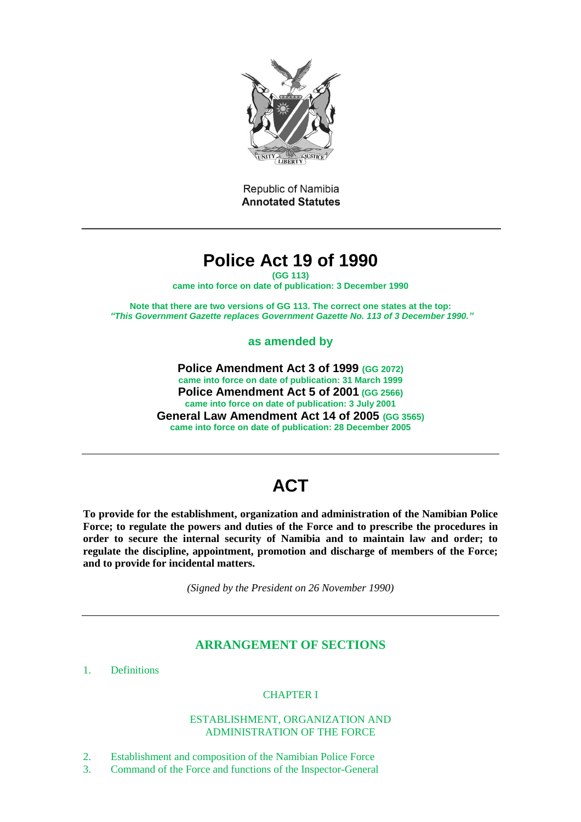

Republic of Namibia **Annotated Statutes** 

# **Police Act 19 of 1990**

**(GG 113) came into force on date of publication: 3 December 1990**

**Note that there are two versions of GG 113. The correct one states at the top:**  *"This Government Gazette replaces Government Gazette No. 113 of 3 December 1990."*

**as amended by**

**Police Amendment Act 3 of 1999 (GG 2072) came into force on date of publication: 31 March 1999 Police Amendment Act 5 of 2001 (GG 2566) came into force on date of publication: 3 July 2001 General Law Amendment Act 14 of 2005 (GG 3565) came into force on date of publication: 28 December 2005**

# **ACT**

**To provide for the establishment, organization and administration of the Namibian Police Force; to regulate the powers and duties of the Force and to prescribe the procedures in order to secure the internal security of Namibia and to maintain law and order; to regulate the discipline, appointment, promotion and discharge of members of the Force; and to provide for incidental matters.**

*(Signed by the President on 26 November 1990)*

# **ARRANGEMENT OF SECTIONS**

1. Definitions

# CHAPTER I

## ESTABLISHMENT, ORGANIZATION AND ADMINISTRATION OF THE FORCE

- 2. Establishment and composition of the Namibian Police Force
- 3. Command of the Force and functions of the Inspector-General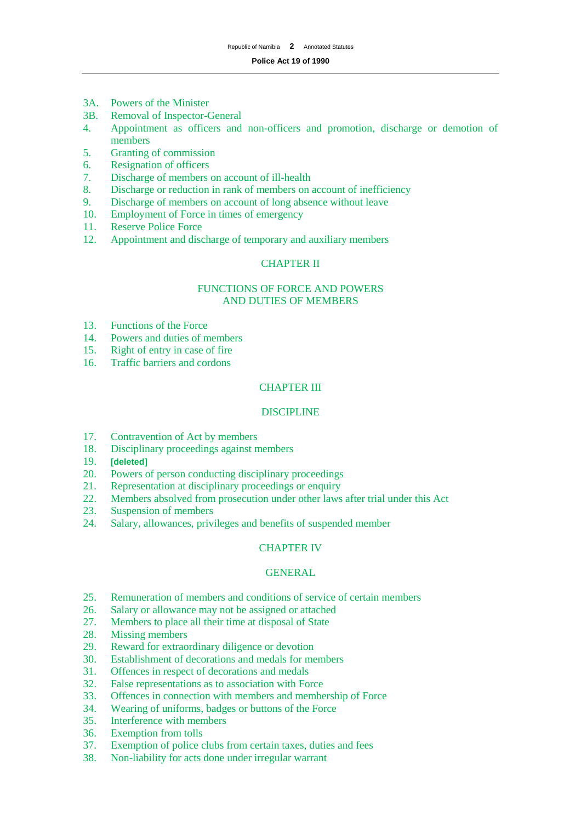#### **Police Act 19 of 1990**

- 3A. Powers of the Minister
- 3B. Removal of Inspector-General
- 4. Appointment as officers and non-officers and promotion, discharge or demotion of members
- 5. Granting of commission
- 6. Resignation of officers
- 7. Discharge of members on account of ill-health
- 8. Discharge or reduction in rank of members on account of inefficiency
- 9. Discharge of members on account of long absence without leave
- 10. Employment of Force in times of emergency
- 11. Reserve Police Force
- 12. Appointment and discharge of temporary and auxiliary members

## CHAPTER II

## FUNCTIONS OF FORCE AND POWERS AND DUTIES OF MEMBERS

- 13. Functions of the Force
- 14. Powers and duties of members<br>15. Right of entry in case of fire
- Right of entry in case of fire
- 16. Traffic barriers and cordons

## CHAPTER III

## DISCIPLINE

- 17. Contravention of Act by members
- 18. Disciplinary proceedings against members
- 19. **[deleted]**
- 20. Powers of person conducting disciplinary proceedings
- 21. Representation at disciplinary proceedings or enquiry
- 22. Members absolved from prosecution under other laws after trial under this Act
- 23. Suspension of members
- 24. Salary, allowances, privileges and benefits of suspended member

#### CHAPTER IV

#### GENERAL

- 25. Remuneration of members and conditions of service of certain members
- 26. Salary or allowance may not be assigned or attached
- 27. Members to place all their time at disposal of State
- 28. Missing members
- 29. Reward for extraordinary diligence or devotion
- 30. Establishment of decorations and medals for members
- 31. Offences in respect of decorations and medals
- 32. False representations as to association with Force
- 33. Offences in connection with members and membership of Force
- 34. Wearing of uniforms, badges or buttons of the Force
- 35. Interference with members
- 36. Exemption from tolls
- 37. Exemption of police clubs from certain taxes, duties and fees
- 38. Non-liability for acts done under irregular warrant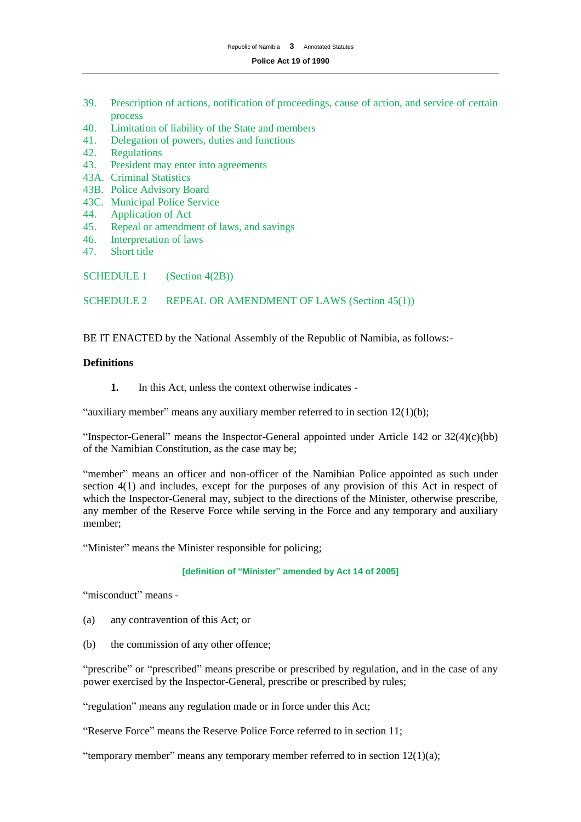#### **Police Act 19 of 1990**

- 39. Prescription of actions, notification of proceedings, cause of action, and service of certain process
- 40. Limitation of liability of the State and members
- 41. Delegation of powers, duties and functions
- 42. Regulations<br>43. President ma
- President may enter into agreements
- 43A. Criminal Statistics
- 43B. Police Advisory Board
- 43C. Municipal Police Service
- 44. Application of Act
- 45. Repeal or amendment of laws, and savings
- 46. Interpretation of laws<br>47. Short title
- Short title

SCHEDULE 1 (Section 4(2B))

SCHEDULE 2 REPEAL OR AMENDMENT OF LAWS (Section 45(1))

BE IT ENACTED by the National Assembly of the Republic of Namibia, as follows:-

## **Definitions**

**1.** In this Act, unless the context otherwise indicates -

"auxiliary member" means any auxiliary member referred to in section 12(1)(b);

"Inspector-General" means the Inspector-General appointed under Article 142 or 32(4)(c)(bb) of the Namibian Constitution, as the case may be;

"member" means an officer and non-officer of the Namibian Police appointed as such under section 4(1) and includes, except for the purposes of any provision of this Act in respect of which the Inspector-General may, subject to the directions of the Minister, otherwise prescribe, any member of the Reserve Force while serving in the Force and any temporary and auxiliary member;

"Minister" means the Minister responsible for policing;

**[definition of "Minister" amended by Act 14 of 2005]**

"misconduct" means -

- (a) any contravention of this Act; or
- (b) the commission of any other offence;

"prescribe" or "prescribed" means prescribe or prescribed by regulation, and in the case of any power exercised by the Inspector-General, prescribe or prescribed by rules;

"regulation" means any regulation made or in force under this Act;

"Reserve Force" means the Reserve Police Force referred to in section 11;

"temporary member" means any temporary member referred to in section  $12(1)(a)$ ;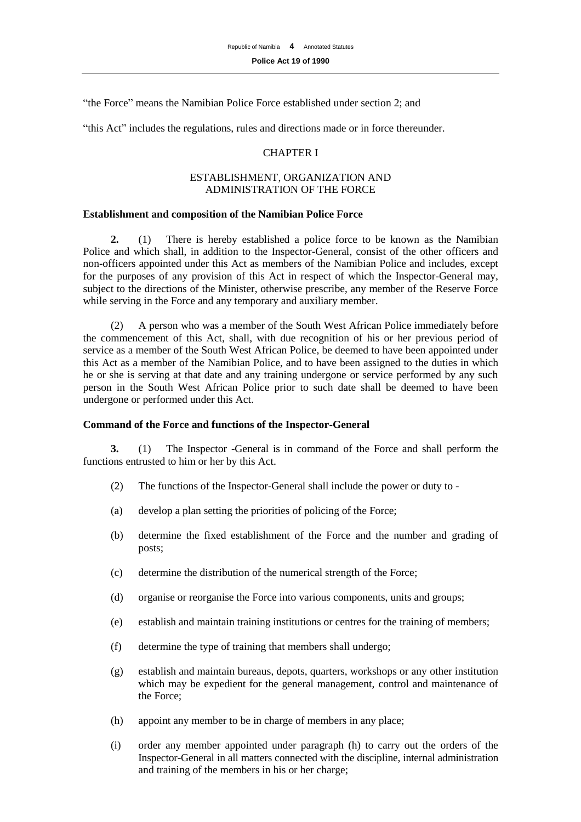"the Force" means the Namibian Police Force established under section 2; and

"this Act" includes the regulations, rules and directions made or in force thereunder.

## CHAPTER I

## ESTABLISHMENT, ORGANIZATION AND ADMINISTRATION OF THE FORCE

## **Establishment and composition of the Namibian Police Force**

**2.** (1) There is hereby established a police force to be known as the Namibian Police and which shall, in addition to the Inspector-General, consist of the other officers and non-officers appointed under this Act as members of the Namibian Police and includes, except for the purposes of any provision of this Act in respect of which the Inspector-General may, subject to the directions of the Minister, otherwise prescribe, any member of the Reserve Force while serving in the Force and any temporary and auxiliary member.

(2) A person who was a member of the South West African Police immediately before the commencement of this Act, shall, with due recognition of his or her previous period of service as a member of the South West African Police, be deemed to have been appointed under this Act as a member of the Namibian Police, and to have been assigned to the duties in which he or she is serving at that date and any training undergone or service performed by any such person in the South West African Police prior to such date shall be deemed to have been undergone or performed under this Act.

## **Command of the Force and functions of the Inspector-General**

**3.** (1) The Inspector -General is in command of the Force and shall perform the functions entrusted to him or her by this Act.

- (2) The functions of the Inspector-General shall include the power or duty to -
- (a) develop a plan setting the priorities of policing of the Force;
- (b) determine the fixed establishment of the Force and the number and grading of posts;
- (c) determine the distribution of the numerical strength of the Force;
- (d) organise or reorganise the Force into various components, units and groups;
- (e) establish and maintain training institutions or centres for the training of members;
- (f) determine the type of training that members shall undergo;
- (g) establish and maintain bureaus, depots, quarters, workshops or any other institution which may be expedient for the general management, control and maintenance of the Force;
- (h) appoint any member to be in charge of members in any place;
- (i) order any member appointed under paragraph (h) to carry out the orders of the Inspector-General in all matters connected with the discipline, internal administration and training of the members in his or her charge;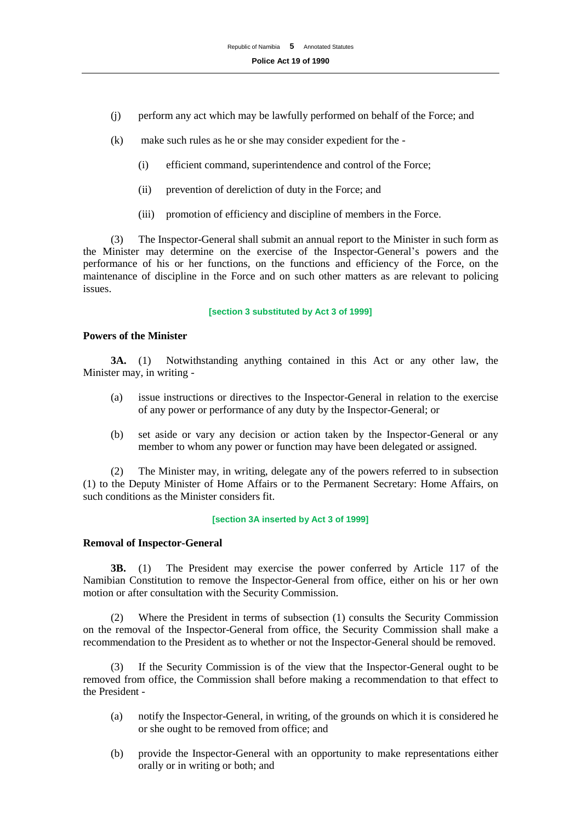- (j) perform any act which may be lawfully performed on behalf of the Force; and
- (k) make such rules as he or she may consider expedient for the
	- (i) efficient command, superintendence and control of the Force;
	- (ii) prevention of dereliction of duty in the Force; and
	- (iii) promotion of efficiency and discipline of members in the Force.

(3) The Inspector-General shall submit an annual report to the Minister in such form as the Minister may determine on the exercise of the Inspector-General's powers and the performance of his or her functions, on the functions and efficiency of the Force, on the maintenance of discipline in the Force and on such other matters as are relevant to policing issues.

**[section 3 substituted by Act 3 of 1999]**

## **Powers of the Minister**

**3A.** (1) Notwithstanding anything contained in this Act or any other law, the Minister may, in writing -

- (a) issue instructions or directives to the Inspector-General in relation to the exercise of any power or performance of any duty by the Inspector-General; or
- (b) set aside or vary any decision or action taken by the Inspector-General or any member to whom any power or function may have been delegated or assigned.

(2) The Minister may, in writing, delegate any of the powers referred to in subsection (1) to the Deputy Minister of Home Affairs or to the Permanent Secretary: Home Affairs, on such conditions as the Minister considers fit.

## **[section 3A inserted by Act 3 of 1999]**

## **Removal of Inspector-General**

**3B.** (1) The President may exercise the power conferred by Article 117 of the Namibian Constitution to remove the Inspector-General from office, either on his or her own motion or after consultation with the Security Commission.

(2) Where the President in terms of subsection (1) consults the Security Commission on the removal of the Inspector-General from office, the Security Commission shall make a recommendation to the President as to whether or not the Inspector-General should be removed.

(3) If the Security Commission is of the view that the Inspector-General ought to be removed from office, the Commission shall before making a recommendation to that effect to the President -

- (a) notify the Inspector-General, in writing, of the grounds on which it is considered he or she ought to be removed from office; and
- (b) provide the Inspector-General with an opportunity to make representations either orally or in writing or both; and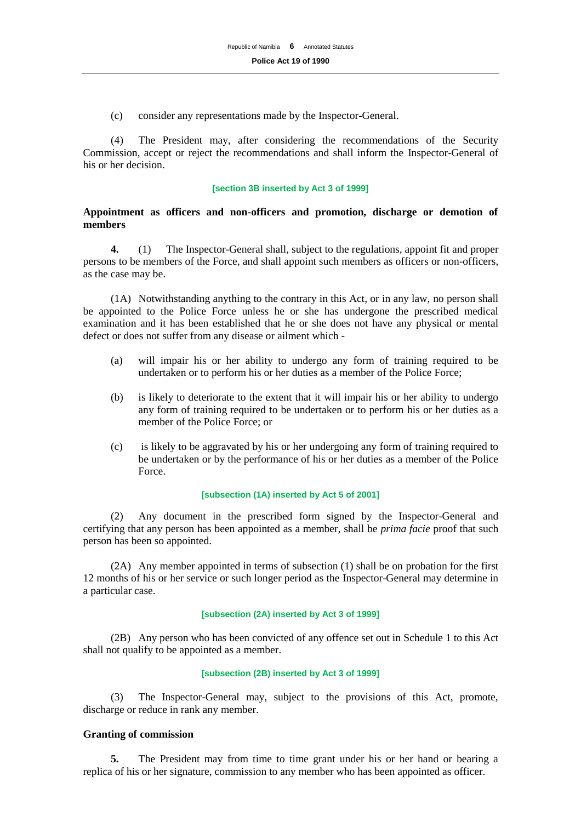(c) consider any representations made by the Inspector-General.

(4) The President may, after considering the recommendations of the Security Commission, accept or reject the recommendations and shall inform the Inspector-General of his or her decision.

#### **[section 3B inserted by Act 3 of 1999]**

## **Appointment as officers and non-officers and promotion, discharge or demotion of members**

**4.** (1) The Inspector-General shall, subject to the regulations, appoint fit and proper persons to be members of the Force, and shall appoint such members as officers or non-officers, as the case may be.

(1A) Notwithstanding anything to the contrary in this Act, or in any law, no person shall be appointed to the Police Force unless he or she has undergone the prescribed medical examination and it has been established that he or she does not have any physical or mental defect or does not suffer from any disease or ailment which -

- (a) will impair his or her ability to undergo any form of training required to be undertaken or to perform his or her duties as a member of the Police Force;
- (b) is likely to deteriorate to the extent that it will impair his or her ability to undergo any form of training required to be undertaken or to perform his or her duties as a member of the Police Force; or
- (c) is likely to be aggravated by his or her undergoing any form of training required to be undertaken or by the performance of his or her duties as a member of the Police Force.

#### **[subsection (1A) inserted by Act 5 of 2001]**

(2) Any document in the prescribed form signed by the Inspector-General and certifying that any person has been appointed as a member, shall be *prima facie* proof that such person has been so appointed.

(2A) Any member appointed in terms of subsection (1) shall be on probation for the first 12 months of his or her service or such longer period as the Inspector-General may determine in a particular case.

## **[subsection (2A) inserted by Act 3 of 1999]**

(2B) Any person who has been convicted of any offence set out in Schedule 1 to this Act shall not qualify to be appointed as a member.

## **[subsection (2B) inserted by Act 3 of 1999]**

(3) The Inspector-General may, subject to the provisions of this Act, promote, discharge or reduce in rank any member.

#### **Granting of commission**

**5.** The President may from time to time grant under his or her hand or bearing a replica of his or her signature, commission to any member who has been appointed as officer.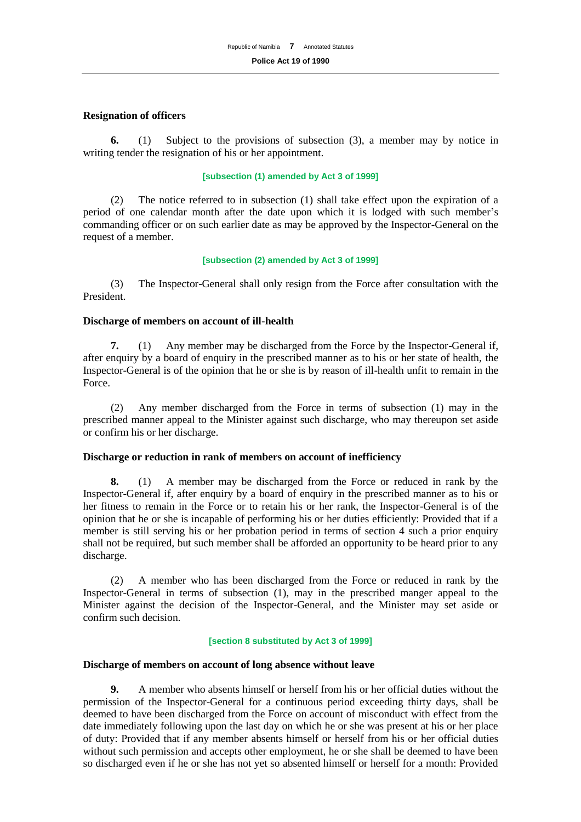## **Resignation of officers**

**6.** (1) Subject to the provisions of subsection (3), a member may by notice in writing tender the resignation of his or her appointment.

## **[subsection (1) amended by Act 3 of 1999]**

(2) The notice referred to in subsection (1) shall take effect upon the expiration of a period of one calendar month after the date upon which it is lodged with such member's commanding officer or on such earlier date as may be approved by the Inspector-General on the request of a member.

#### **[subsection (2) amended by Act 3 of 1999]**

(3) The Inspector-General shall only resign from the Force after consultation with the President.

#### **Discharge of members on account of ill-health**

**7.** (1) Any member may be discharged from the Force by the Inspector-General if, after enquiry by a board of enquiry in the prescribed manner as to his or her state of health, the Inspector-General is of the opinion that he or she is by reason of ill-health unfit to remain in the Force.

(2) Any member discharged from the Force in terms of subsection (1) may in the prescribed manner appeal to the Minister against such discharge, who may thereupon set aside or confirm his or her discharge.

#### **Discharge or reduction in rank of members on account of inefficiency**

**8.** (1) A member may be discharged from the Force or reduced in rank by the Inspector-General if, after enquiry by a board of enquiry in the prescribed manner as to his or her fitness to remain in the Force or to retain his or her rank, the Inspector-General is of the opinion that he or she is incapable of performing his or her duties efficiently: Provided that if a member is still serving his or her probation period in terms of section 4 such a prior enquiry shall not be required, but such member shall be afforded an opportunity to be heard prior to any discharge.

(2) A member who has been discharged from the Force or reduced in rank by the Inspector-General in terms of subsection (1), may in the prescribed manger appeal to the Minister against the decision of the Inspector-General, and the Minister may set aside or confirm such decision.

#### **[section 8 substituted by Act 3 of 1999]**

#### **Discharge of members on account of long absence without leave**

**9.** A member who absents himself or herself from his or her official duties without the permission of the Inspector-General for a continuous period exceeding thirty days, shall be deemed to have been discharged from the Force on account of misconduct with effect from the date immediately following upon the last day on which he or she was present at his or her place of duty: Provided that if any member absents himself or herself from his or her official duties without such permission and accepts other employment, he or she shall be deemed to have been so discharged even if he or she has not yet so absented himself or herself for a month: Provided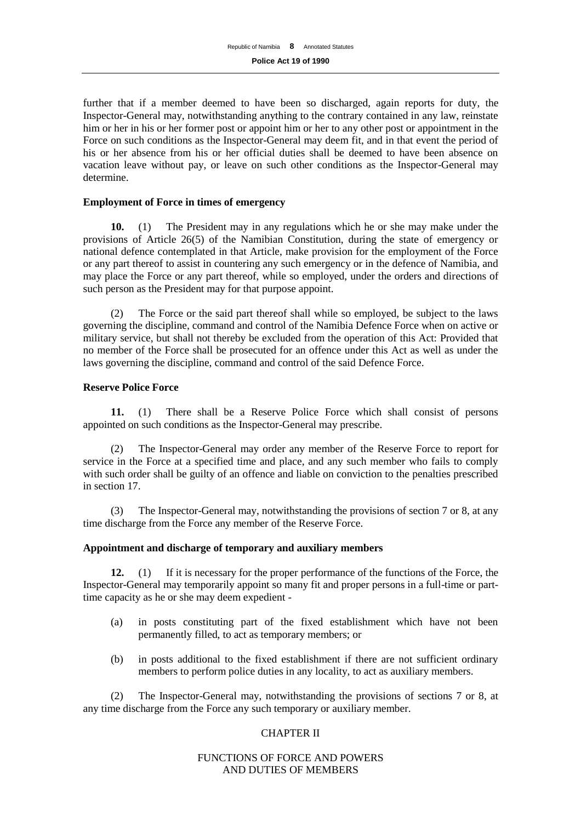further that if a member deemed to have been so discharged, again reports for duty, the Inspector-General may, notwithstanding anything to the contrary contained in any law, reinstate him or her in his or her former post or appoint him or her to any other post or appointment in the Force on such conditions as the Inspector-General may deem fit, and in that event the period of his or her absence from his or her official duties shall be deemed to have been absence on vacation leave without pay, or leave on such other conditions as the Inspector-General may determine.

## **Employment of Force in times of emergency**

**10.** (1) The President may in any regulations which he or she may make under the provisions of Article 26(5) of the Namibian Constitution, during the state of emergency or national defence contemplated in that Article, make provision for the employment of the Force or any part thereof to assist in countering any such emergency or in the defence of Namibia, and may place the Force or any part thereof, while so employed, under the orders and directions of such person as the President may for that purpose appoint.

(2) The Force or the said part thereof shall while so employed, be subject to the laws governing the discipline, command and control of the Namibia Defence Force when on active or military service, but shall not thereby be excluded from the operation of this Act: Provided that no member of the Force shall be prosecuted for an offence under this Act as well as under the laws governing the discipline, command and control of the said Defence Force.

## **Reserve Police Force**

**11.** (1) There shall be a Reserve Police Force which shall consist of persons appointed on such conditions as the Inspector-General may prescribe.

(2) The Inspector-General may order any member of the Reserve Force to report for service in the Force at a specified time and place, and any such member who fails to comply with such order shall be guilty of an offence and liable on conviction to the penalties prescribed in section 17.

(3) The Inspector-General may, notwithstanding the provisions of section 7 or 8, at any time discharge from the Force any member of the Reserve Force.

#### **Appointment and discharge of temporary and auxiliary members**

**12.** (1) If it is necessary for the proper performance of the functions of the Force, the Inspector-General may temporarily appoint so many fit and proper persons in a full-time or parttime capacity as he or she may deem expedient -

- (a) in posts constituting part of the fixed establishment which have not been permanently filled, to act as temporary members; or
- (b) in posts additional to the fixed establishment if there are not sufficient ordinary members to perform police duties in any locality, to act as auxiliary members.

(2) The Inspector-General may, notwithstanding the provisions of sections 7 or 8, at any time discharge from the Force any such temporary or auxiliary member.

## CHAPTER II

## FUNCTIONS OF FORCE AND POWERS AND DUTIES OF MEMBERS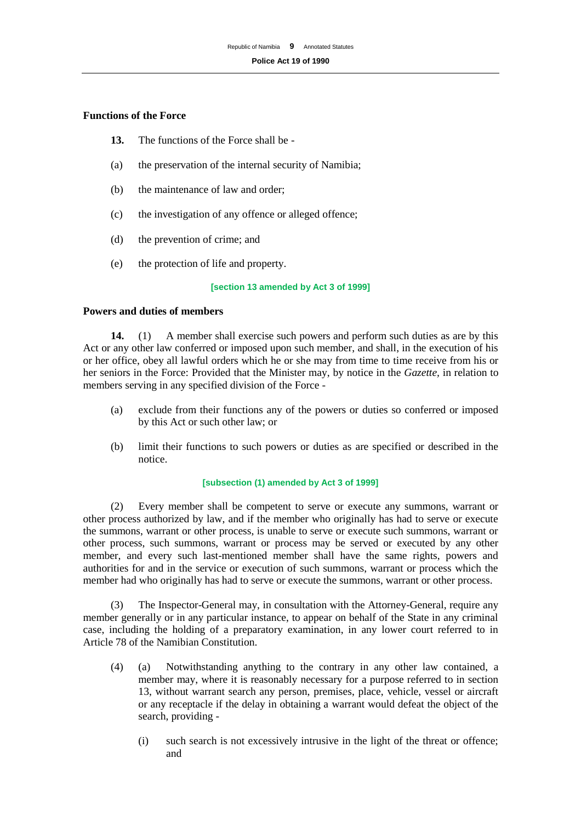## **Functions of the Force**

- **13.** The functions of the Force shall be -
- (a) the preservation of the internal security of Namibia;
- (b) the maintenance of law and order;
- (c) the investigation of any offence or alleged offence;
- (d) the prevention of crime; and
- (e) the protection of life and property.

#### **[section 13 amended by Act 3 of 1999]**

#### **Powers and duties of members**

**14.** (1) A member shall exercise such powers and perform such duties as are by this Act or any other law conferred or imposed upon such member, and shall, in the execution of his or her office, obey all lawful orders which he or she may from time to time receive from his or her seniors in the Force: Provided that the Minister may, by notice in the *Gazette,* in relation to members serving in any specified division of the Force -

- (a) exclude from their functions any of the powers or duties so conferred or imposed by this Act or such other law; or
- (b) limit their functions to such powers or duties as are specified or described in the notice.

#### **[subsection (1) amended by Act 3 of 1999]**

(2) Every member shall be competent to serve or execute any summons, warrant or other process authorized by law, and if the member who originally has had to serve or execute the summons, warrant or other process, is unable to serve or execute such summons, warrant or other process, such summons, warrant or process may be served or executed by any other member, and every such last-mentioned member shall have the same rights, powers and authorities for and in the service or execution of such summons, warrant or process which the member had who originally has had to serve or execute the summons, warrant or other process.

(3) The Inspector-General may, in consultation with the Attorney-General, require any member generally or in any particular instance, to appear on behalf of the State in any criminal case, including the holding of a preparatory examination, in any lower court referred to in Article 78 of the Namibian Constitution.

- (4) (a) Notwithstanding anything to the contrary in any other law contained, a member may, where it is reasonably necessary for a purpose referred to in section 13, without warrant search any person, premises, place, vehicle, vessel or aircraft or any receptacle if the delay in obtaining a warrant would defeat the object of the search, providing -
	- (i) such search is not excessively intrusive in the light of the threat or offence; and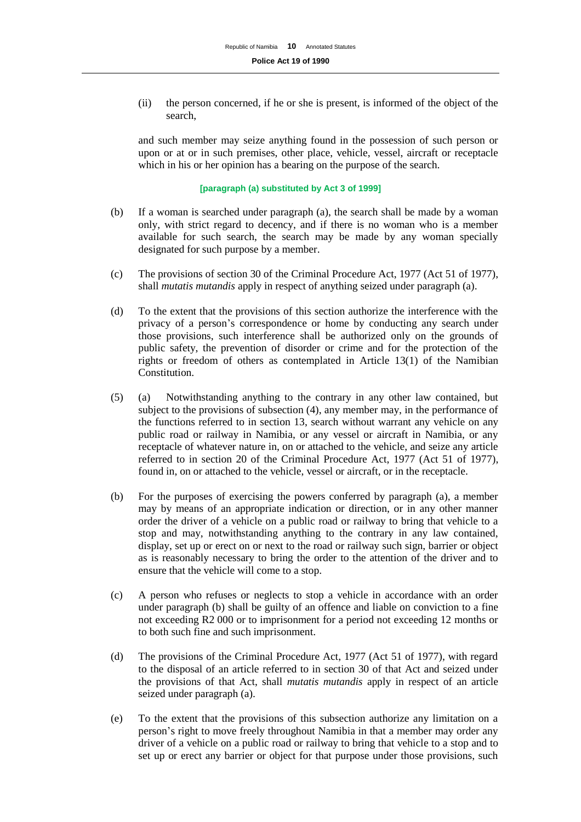(ii) the person concerned, if he or she is present, is informed of the object of the search,

and such member may seize anything found in the possession of such person or upon or at or in such premises, other place, vehicle, vessel, aircraft or receptacle which in his or her opinion has a bearing on the purpose of the search.

**[paragraph (a) substituted by Act 3 of 1999]**

- (b) If a woman is searched under paragraph (a), the search shall be made by a woman only, with strict regard to decency, and if there is no woman who is a member available for such search, the search may be made by any woman specially designated for such purpose by a member.
- (c) The provisions of section 30 of the Criminal Procedure Act, 1977 (Act 51 of 1977), shall *mutatis mutandis* apply in respect of anything seized under paragraph (a).
- (d) To the extent that the provisions of this section authorize the interference with the privacy of a person's correspondence or home by conducting any search under those provisions, such interference shall be authorized only on the grounds of public safety, the prevention of disorder or crime and for the protection of the rights or freedom of others as contemplated in Article 13(1) of the Namibian Constitution.
- (5) (a) Notwithstanding anything to the contrary in any other law contained, but subject to the provisions of subsection (4), any member may, in the performance of the functions referred to in section 13, search without warrant any vehicle on any public road or railway in Namibia, or any vessel or aircraft in Namibia, or any receptacle of whatever nature in, on or attached to the vehicle, and seize any article referred to in section 20 of the Criminal Procedure Act, 1977 (Act 51 of 1977), found in, on or attached to the vehicle, vessel or aircraft, or in the receptacle.
- (b) For the purposes of exercising the powers conferred by paragraph (a), a member may by means of an appropriate indication or direction, or in any other manner order the driver of a vehicle on a public road or railway to bring that vehicle to a stop and may, notwithstanding anything to the contrary in any law contained, display, set up or erect on or next to the road or railway such sign, barrier or object as is reasonably necessary to bring the order to the attention of the driver and to ensure that the vehicle will come to a stop.
- (c) A person who refuses or neglects to stop a vehicle in accordance with an order under paragraph (b) shall be guilty of an offence and liable on conviction to a fine not exceeding R2 000 or to imprisonment for a period not exceeding 12 months or to both such fine and such imprisonment.
- (d) The provisions of the Criminal Procedure Act, 1977 (Act 51 of 1977), with regard to the disposal of an article referred to in section 30 of that Act and seized under the provisions of that Act, shall *mutatis mutandis* apply in respect of an article seized under paragraph (a).
- (e) To the extent that the provisions of this subsection authorize any limitation on a person's right to move freely throughout Namibia in that a member may order any driver of a vehicle on a public road or railway to bring that vehicle to a stop and to set up or erect any barrier or object for that purpose under those provisions, such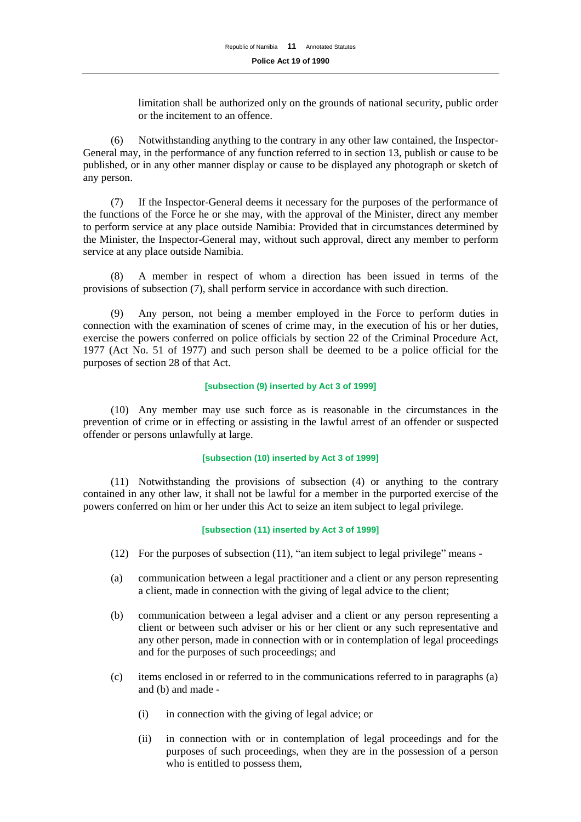limitation shall be authorized only on the grounds of national security, public order or the incitement to an offence.

(6) Notwithstanding anything to the contrary in any other law contained, the Inspector-General may, in the performance of any function referred to in section 13, publish or cause to be published, or in any other manner display or cause to be displayed any photograph or sketch of any person.

(7) If the Inspector-General deems it necessary for the purposes of the performance of the functions of the Force he or she may, with the approval of the Minister, direct any member to perform service at any place outside Namibia: Provided that in circumstances determined by the Minister, the Inspector-General may, without such approval, direct any member to perform service at any place outside Namibia.

(8) A member in respect of whom a direction has been issued in terms of the provisions of subsection (7), shall perform service in accordance with such direction.

(9) Any person, not being a member employed in the Force to perform duties in connection with the examination of scenes of crime may, in the execution of his or her duties, exercise the powers conferred on police officials by section 22 of the Criminal Procedure Act, 1977 (Act No. 51 of 1977) and such person shall be deemed to be a police official for the purposes of section 28 of that Act.

#### **[subsection (9) inserted by Act 3 of 1999]**

(10) Any member may use such force as is reasonable in the circumstances in the prevention of crime or in effecting or assisting in the lawful arrest of an offender or suspected offender or persons unlawfully at large.

#### **[subsection (10) inserted by Act 3 of 1999]**

(11) Notwithstanding the provisions of subsection (4) or anything to the contrary contained in any other law, it shall not be lawful for a member in the purported exercise of the powers conferred on him or her under this Act to seize an item subject to legal privilege.

## **[subsection (11) inserted by Act 3 of 1999]**

- (12) For the purposes of subsection (11), "an item subject to legal privilege" means -
- (a) communication between a legal practitioner and a client or any person representing a client, made in connection with the giving of legal advice to the client;
- (b) communication between a legal adviser and a client or any person representing a client or between such adviser or his or her client or any such representative and any other person, made in connection with or in contemplation of legal proceedings and for the purposes of such proceedings; and
- (c) items enclosed in or referred to in the communications referred to in paragraphs (a) and (b) and made -
	- (i) in connection with the giving of legal advice; or
	- (ii) in connection with or in contemplation of legal proceedings and for the purposes of such proceedings, when they are in the possession of a person who is entitled to possess them,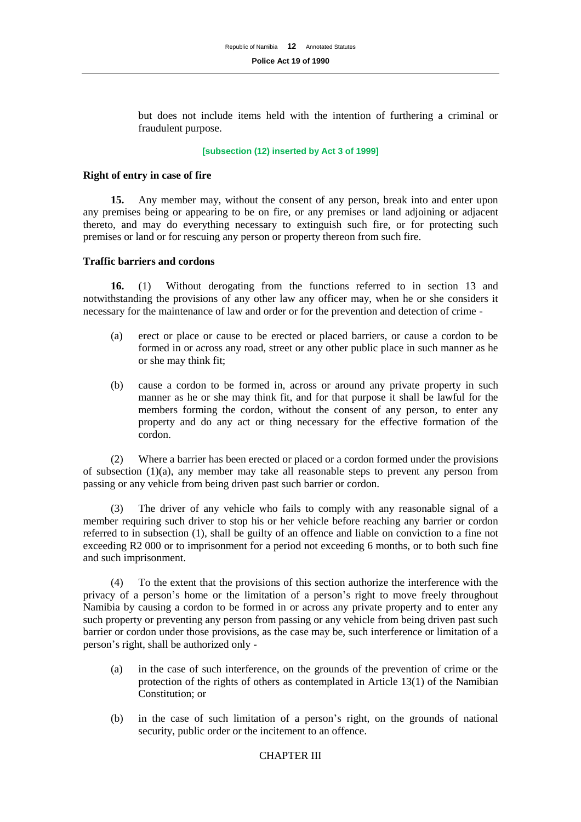but does not include items held with the intention of furthering a criminal or fraudulent purpose.

#### **[subsection (12) inserted by Act 3 of 1999]**

#### **Right of entry in case of fire**

**15.** Any member may, without the consent of any person, break into and enter upon any premises being or appearing to be on fire, or any premises or land adjoining or adjacent thereto, and may do everything necessary to extinguish such fire, or for protecting such premises or land or for rescuing any person or property thereon from such fire.

## **Traffic barriers and cordons**

**16.** (1) Without derogating from the functions referred to in section 13 and notwithstanding the provisions of any other law any officer may, when he or she considers it necessary for the maintenance of law and order or for the prevention and detection of crime -

- (a) erect or place or cause to be erected or placed barriers, or cause a cordon to be formed in or across any road, street or any other public place in such manner as he or she may think fit;
- (b) cause a cordon to be formed in, across or around any private property in such manner as he or she may think fit, and for that purpose it shall be lawful for the members forming the cordon, without the consent of any person, to enter any property and do any act or thing necessary for the effective formation of the cordon.

(2) Where a barrier has been erected or placed or a cordon formed under the provisions of subsection (1)(a), any member may take all reasonable steps to prevent any person from passing or any vehicle from being driven past such barrier or cordon.

(3) The driver of any vehicle who fails to comply with any reasonable signal of a member requiring such driver to stop his or her vehicle before reaching any barrier or cordon referred to in subsection (1), shall be guilty of an offence and liable on conviction to a fine not exceeding R2 000 or to imprisonment for a period not exceeding 6 months, or to both such fine and such imprisonment.

(4) To the extent that the provisions of this section authorize the interference with the privacy of a person's home or the limitation of a person's right to move freely throughout Namibia by causing a cordon to be formed in or across any private property and to enter any such property or preventing any person from passing or any vehicle from being driven past such barrier or cordon under those provisions, as the case may be, such interference or limitation of a person's right, shall be authorized only -

- (a) in the case of such interference, on the grounds of the prevention of crime or the protection of the rights of others as contemplated in Article 13(1) of the Namibian Constitution; or
- (b) in the case of such limitation of a person's right, on the grounds of national security, public order or the incitement to an offence.

## CHAPTER III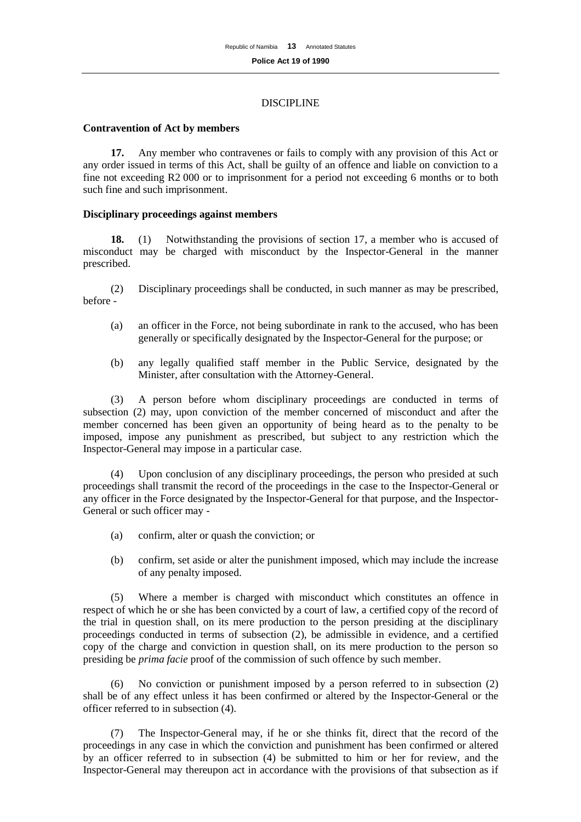#### DISCIPLINE

#### **Contravention of Act by members**

**17.** Any member who contravenes or fails to comply with any provision of this Act or any order issued in terms of this Act, shall be guilty of an offence and liable on conviction to a fine not exceeding R2 000 or to imprisonment for a period not exceeding 6 months or to both such fine and such imprisonment.

## **Disciplinary proceedings against members**

**18.** (1) Notwithstanding the provisions of section 17, a member who is accused of misconduct may be charged with misconduct by the Inspector-General in the manner prescribed.

(2) Disciplinary proceedings shall be conducted, in such manner as may be prescribed, before -

- (a) an officer in the Force, not being subordinate in rank to the accused, who has been generally or specifically designated by the Inspector-General for the purpose; or
- (b) any legally qualified staff member in the Public Service, designated by the Minister, after consultation with the Attorney-General.

(3) A person before whom disciplinary proceedings are conducted in terms of subsection (2) may, upon conviction of the member concerned of misconduct and after the member concerned has been given an opportunity of being heard as to the penalty to be imposed, impose any punishment as prescribed, but subject to any restriction which the Inspector-General may impose in a particular case.

(4) Upon conclusion of any disciplinary proceedings, the person who presided at such proceedings shall transmit the record of the proceedings in the case to the Inspector-General or any officer in the Force designated by the Inspector-General for that purpose, and the Inspector-General or such officer may -

- (a) confirm, alter or quash the conviction; or
- (b) confirm, set aside or alter the punishment imposed, which may include the increase of any penalty imposed.

(5) Where a member is charged with misconduct which constitutes an offence in respect of which he or she has been convicted by a court of law, a certified copy of the record of the trial in question shall, on its mere production to the person presiding at the disciplinary proceedings conducted in terms of subsection (2), be admissible in evidence, and a certified copy of the charge and conviction in question shall, on its mere production to the person so presiding be *prima facie* proof of the commission of such offence by such member.

(6) No conviction or punishment imposed by a person referred to in subsection (2) shall be of any effect unless it has been confirmed or altered by the Inspector-General or the officer referred to in subsection (4).

(7) The Inspector-General may, if he or she thinks fit, direct that the record of the proceedings in any case in which the conviction and punishment has been confirmed or altered by an officer referred to in subsection (4) be submitted to him or her for review, and the Inspector-General may thereupon act in accordance with the provisions of that subsection as if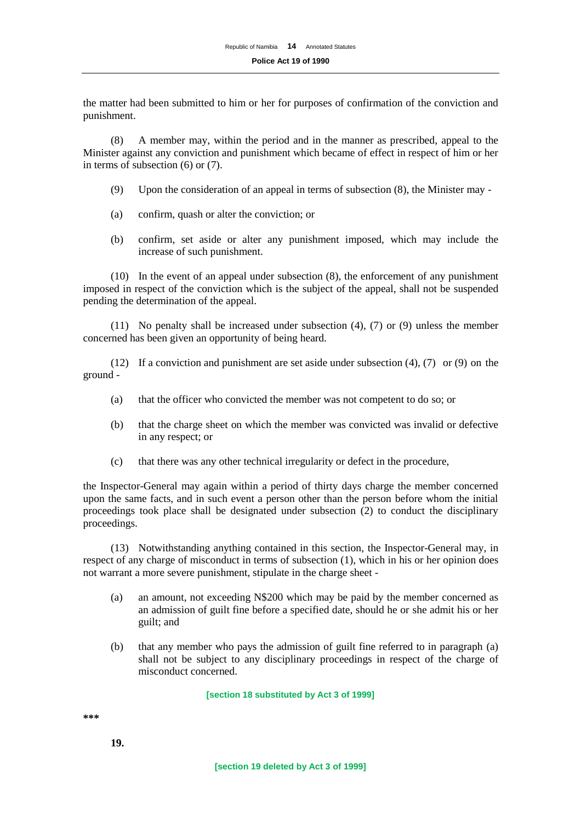the matter had been submitted to him or her for purposes of confirmation of the conviction and punishment.

(8) A member may, within the period and in the manner as prescribed, appeal to the Minister against any conviction and punishment which became of effect in respect of him or her in terms of subsection (6) or (7).

- (9) Upon the consideration of an appeal in terms of subsection (8), the Minister may -
- (a) confirm, quash or alter the conviction; or
- (b) confirm, set aside or alter any punishment imposed, which may include the increase of such punishment.

(10) In the event of an appeal under subsection (8), the enforcement of any punishment imposed in respect of the conviction which is the subject of the appeal, shall not be suspended pending the determination of the appeal.

(11) No penalty shall be increased under subsection (4), (7) or (9) unless the member concerned has been given an opportunity of being heard.

(12) If a conviction and punishment are set aside under subsection  $(4)$ ,  $(7)$  or  $(9)$  on the ground -

- (a) that the officer who convicted the member was not competent to do so; or
- (b) that the charge sheet on which the member was convicted was invalid or defective in any respect; or
- (c) that there was any other technical irregularity or defect in the procedure,

the Inspector-General may again within a period of thirty days charge the member concerned upon the same facts, and in such event a person other than the person before whom the initial proceedings took place shall be designated under subsection (2) to conduct the disciplinary proceedings.

(13) Notwithstanding anything contained in this section, the Inspector-General may, in respect of any charge of misconduct in terms of subsection (1), which in his or her opinion does not warrant a more severe punishment, stipulate in the charge sheet -

- (a) an amount, not exceeding N\$200 which may be paid by the member concerned as an admission of guilt fine before a specified date, should he or she admit his or her guilt; and
- (b) that any member who pays the admission of guilt fine referred to in paragraph (a) shall not be subject to any disciplinary proceedings in respect of the charge of misconduct concerned.

#### **[section 18 substituted by Act 3 of 1999]**

**\*\*\***

**19.**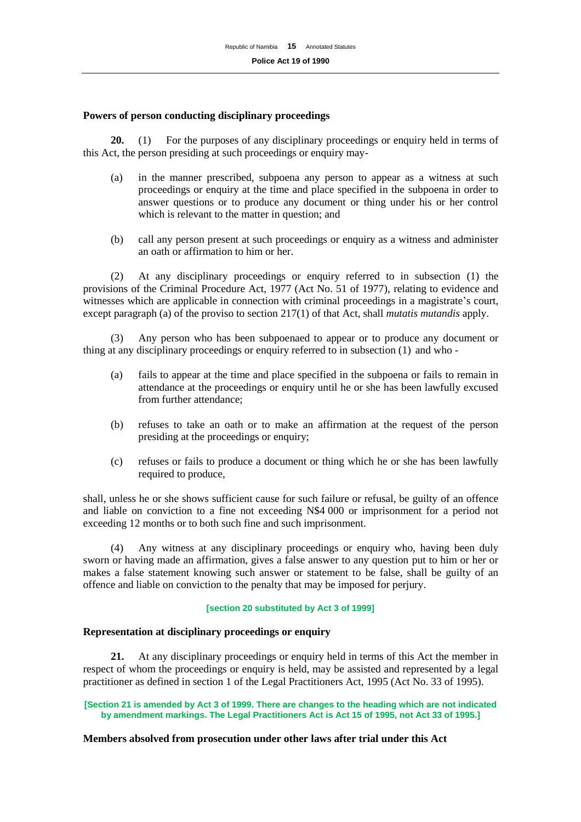## **Powers of person conducting disciplinary proceedings**

**20.** (1) For the purposes of any disciplinary proceedings or enquiry held in terms of this Act, the person presiding at such proceedings or enquiry may-

- (a) in the manner prescribed, subpoena any person to appear as a witness at such proceedings or enquiry at the time and place specified in the subpoena in order to answer questions or to produce any document or thing under his or her control which is relevant to the matter in question; and
- (b) call any person present at such proceedings or enquiry as a witness and administer an oath or affirmation to him or her.

(2) At any disciplinary proceedings or enquiry referred to in subsection (1) the provisions of the Criminal Procedure Act, 1977 (Act No. 51 of 1977), relating to evidence and witnesses which are applicable in connection with criminal proceedings in a magistrate's court, except paragraph (a) of the proviso to section 217(1) of that Act, shall *mutatis mutandis* apply.

(3) Any person who has been subpoenaed to appear or to produce any document or thing at any disciplinary proceedings or enquiry referred to in subsection (1) and who -

- (a) fails to appear at the time and place specified in the subpoena or fails to remain in attendance at the proceedings or enquiry until he or she has been lawfully excused from further attendance;
- (b) refuses to take an oath or to make an affirmation at the request of the person presiding at the proceedings or enquiry;
- (c) refuses or fails to produce a document or thing which he or she has been lawfully required to produce,

shall, unless he or she shows sufficient cause for such failure or refusal, be guilty of an offence and liable on conviction to a fine not exceeding N\$4 000 or imprisonment for a period not exceeding 12 months or to both such fine and such imprisonment.

(4) Any witness at any disciplinary proceedings or enquiry who, having been duly sworn or having made an affirmation, gives a false answer to any question put to him or her or makes a false statement knowing such answer or statement to be false, shall be guilty of an offence and liable on conviction to the penalty that may be imposed for perjury.

#### **[section 20 substituted by Act 3 of 1999]**

#### **Representation at disciplinary proceedings or enquiry**

**21.** At any disciplinary proceedings or enquiry held in terms of this Act the member in respect of whom the proceedings or enquiry is held, may be assisted and represented by a legal practitioner as defined in section 1 of the Legal Practitioners Act, 1995 (Act No. 33 of 1995).

**[Section 21 is amended by Act 3 of 1999. There are changes to the heading which are not indicated by amendment markings. The Legal Practitioners Act is Act 15 of 1995, not Act 33 of 1995.]**

#### **Members absolved from prosecution under other laws after trial under this Act**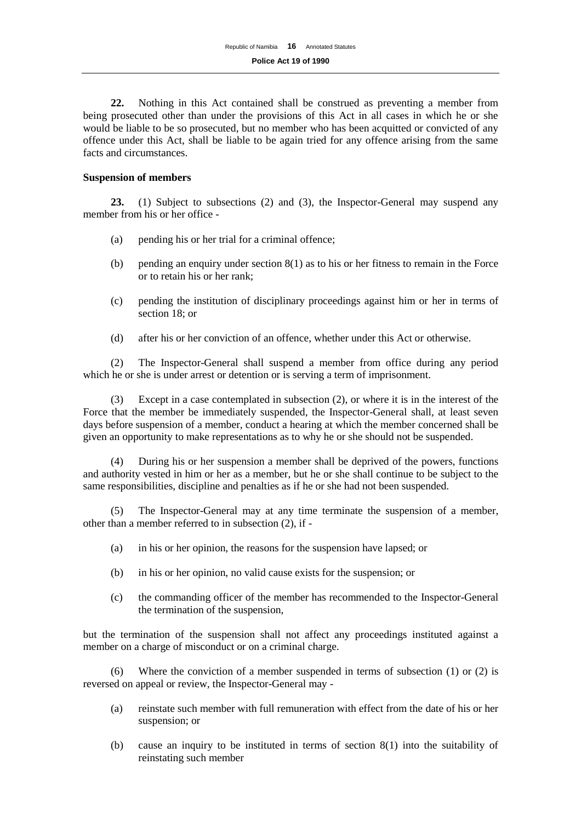**22.** Nothing in this Act contained shall be construed as preventing a member from being prosecuted other than under the provisions of this Act in all cases in which he or she would be liable to be so prosecuted, but no member who has been acquitted or convicted of any offence under this Act, shall be liable to be again tried for any offence arising from the same facts and circumstances.

## **Suspension of members**

**23.** (1) Subject to subsections (2) and (3), the Inspector-General may suspend any member from his or her office -

- (a) pending his or her trial for a criminal offence;
- (b) pending an enquiry under section  $8(1)$  as to his or her fitness to remain in the Force or to retain his or her rank;
- (c) pending the institution of disciplinary proceedings against him or her in terms of section 18; or
- (d) after his or her conviction of an offence, whether under this Act or otherwise.

(2) The Inspector-General shall suspend a member from office during any period which he or she is under arrest or detention or is serving a term of imprisonment.

(3) Except in a case contemplated in subsection (2), or where it is in the interest of the Force that the member be immediately suspended, the Inspector-General shall, at least seven days before suspension of a member, conduct a hearing at which the member concerned shall be given an opportunity to make representations as to why he or she should not be suspended.

(4) During his or her suspension a member shall be deprived of the powers, functions and authority vested in him or her as a member, but he or she shall continue to be subject to the same responsibilities, discipline and penalties as if he or she had not been suspended.

(5) The Inspector-General may at any time terminate the suspension of a member, other than a member referred to in subsection (2), if -

- (a) in his or her opinion, the reasons for the suspension have lapsed; or
- (b) in his or her opinion, no valid cause exists for the suspension; or
- (c) the commanding officer of the member has recommended to the Inspector-General the termination of the suspension,

but the termination of the suspension shall not affect any proceedings instituted against a member on a charge of misconduct or on a criminal charge.

(6) Where the conviction of a member suspended in terms of subsection (1) or (2) is reversed on appeal or review, the Inspector-General may -

- (a) reinstate such member with full remuneration with effect from the date of his or her suspension; or
- (b) cause an inquiry to be instituted in terms of section 8(1) into the suitability of reinstating such member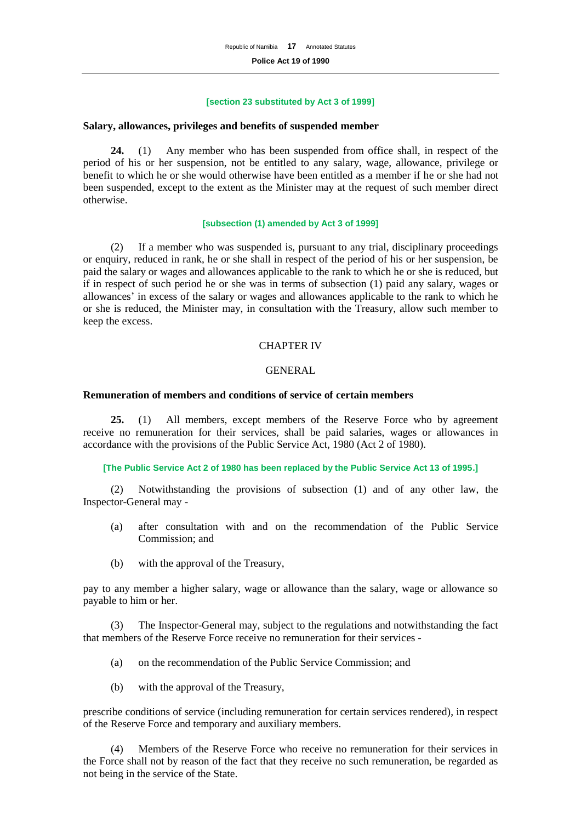#### **[section 23 substituted by Act 3 of 1999]**

#### **Salary, allowances, privileges and benefits of suspended member**

**24.** (1) Any member who has been suspended from office shall, in respect of the period of his or her suspension, not be entitled to any salary, wage, allowance, privilege or benefit to which he or she would otherwise have been entitled as a member if he or she had not been suspended, except to the extent as the Minister may at the request of such member direct otherwise.

#### **[subsection (1) amended by Act 3 of 1999]**

(2) If a member who was suspended is, pursuant to any trial, disciplinary proceedings or enquiry, reduced in rank, he or she shall in respect of the period of his or her suspension, be paid the salary or wages and allowances applicable to the rank to which he or she is reduced, but if in respect of such period he or she was in terms of subsection (1) paid any salary, wages or allowances' in excess of the salary or wages and allowances applicable to the rank to which he or she is reduced, the Minister may, in consultation with the Treasury, allow such member to keep the excess.

## CHAPTER IV

## GENERAL

## **Remuneration of members and conditions of service of certain members**

**25.** (1) All members, except members of the Reserve Force who by agreement receive no remuneration for their services, shall be paid salaries, wages or allowances in accordance with the provisions of the Public Service Act, 1980 (Act 2 of 1980).

#### **[The Public Service Act 2 of 1980 has been replaced by the Public Service Act 13 of 1995.]**

(2) Notwithstanding the provisions of subsection (1) and of any other law, the Inspector-General may -

- (a) after consultation with and on the recommendation of the Public Service Commission; and
- (b) with the approval of the Treasury,

pay to any member a higher salary, wage or allowance than the salary, wage or allowance so payable to him or her.

(3) The Inspector-General may, subject to the regulations and notwithstanding the fact that members of the Reserve Force receive no remuneration for their services -

- (a) on the recommendation of the Public Service Commission; and
- (b) with the approval of the Treasury,

prescribe conditions of service (including remuneration for certain services rendered), in respect of the Reserve Force and temporary and auxiliary members.

(4) Members of the Reserve Force who receive no remuneration for their services in the Force shall not by reason of the fact that they receive no such remuneration, be regarded as not being in the service of the State.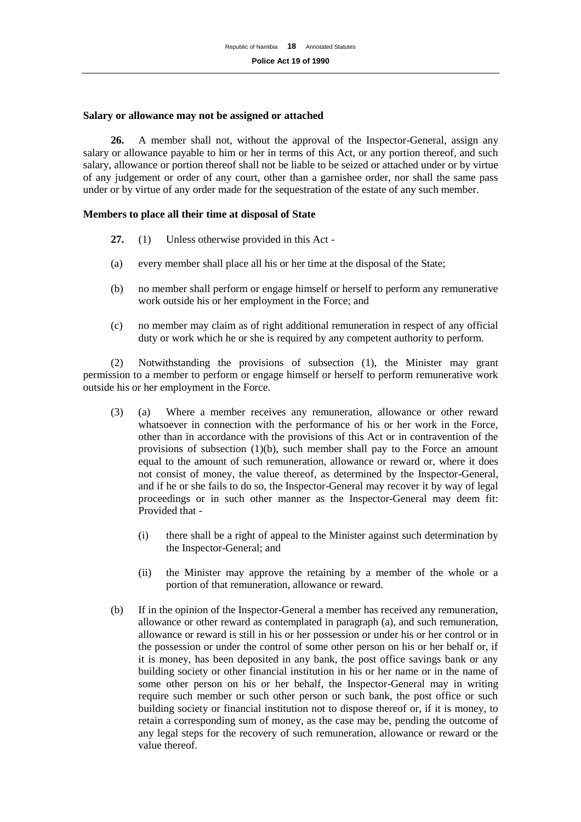## **Salary or allowance may not be assigned or attached**

**26.** A member shall not, without the approval of the Inspector-General, assign any salary or allowance payable to him or her in terms of this Act, or any portion thereof, and such salary, allowance or portion thereof shall not be liable to be seized or attached under or by virtue of any judgement or order of any court, other than a garnishee order, nor shall the same pass under or by virtue of any order made for the sequestration of the estate of any such member.

## **Members to place all their time at disposal of State**

- **27.** (1) Unless otherwise provided in this Act -
- (a) every member shall place all his or her time at the disposal of the State;
- (b) no member shall perform or engage himself or herself to perform any remunerative work outside his or her employment in the Force; and
- (c) no member may claim as of right additional remuneration in respect of any official duty or work which he or she is required by any competent authority to perform.

(2) Notwithstanding the provisions of subsection (1), the Minister may grant permission to a member to perform or engage himself or herself to perform remunerative work outside his or her employment in the Force.

- (3) (a) Where a member receives any remuneration, allowance or other reward whatsoever in connection with the performance of his or her work in the Force, other than in accordance with the provisions of this Act or in contravention of the provisions of subsection (1)(b), such member shall pay to the Force an amount equal to the amount of such remuneration, allowance or reward or, where it does not consist of money, the value thereof, as determined by the Inspector-General, and if he or she fails to do so, the Inspector-General may recover it by way of legal proceedings or in such other manner as the Inspector-General may deem fit: Provided that -
	- (i) there shall be a right of appeal to the Minister against such determination by the Inspector-General; and
	- (ii) the Minister may approve the retaining by a member of the whole or a portion of that remuneration, allowance or reward.
- (b) If in the opinion of the Inspector-General a member has received any remuneration, allowance or other reward as contemplated in paragraph (a), and such remuneration, allowance or reward is still in his or her possession or under his or her control or in the possession or under the control of some other person on his or her behalf or, if it is money, has been deposited in any bank, the post office savings bank or any building society or other financial institution in his or her name or in the name of some other person on his or her behalf, the Inspector-General may in writing require such member or such other person or such bank, the post office or such building society or financial institution not to dispose thereof or, if it is money, to retain a corresponding sum of money, as the case may be, pending the outcome of any legal steps for the recovery of such remuneration, allowance or reward or the value thereof.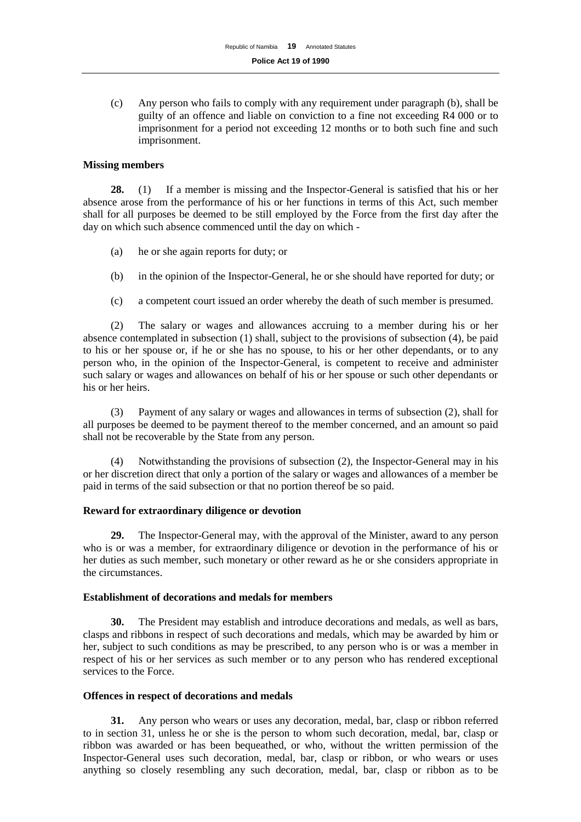(c) Any person who fails to comply with any requirement under paragraph (b), shall be guilty of an offence and liable on conviction to a fine not exceeding R4 000 or to imprisonment for a period not exceeding 12 months or to both such fine and such imprisonment.

## **Missing members**

**28.** (1) If a member is missing and the Inspector-General is satisfied that his or her absence arose from the performance of his or her functions in terms of this Act, such member shall for all purposes be deemed to be still employed by the Force from the first day after the day on which such absence commenced until the day on which -

- (a) he or she again reports for duty; or
- (b) in the opinion of the Inspector-General, he or she should have reported for duty; or
- (c) a competent court issued an order whereby the death of such member is presumed.

(2) The salary or wages and allowances accruing to a member during his or her absence contemplated in subsection (1) shall, subject to the provisions of subsection (4), be paid to his or her spouse or, if he or she has no spouse, to his or her other dependants, or to any person who, in the opinion of the Inspector-General, is competent to receive and administer such salary or wages and allowances on behalf of his or her spouse or such other dependants or his or her heirs.

(3) Payment of any salary or wages and allowances in terms of subsection (2), shall for all purposes be deemed to be payment thereof to the member concerned, and an amount so paid shall not be recoverable by the State from any person.

(4) Notwithstanding the provisions of subsection (2), the Inspector-General may in his or her discretion direct that only a portion of the salary or wages and allowances of a member be paid in terms of the said subsection or that no portion thereof be so paid.

## **Reward for extraordinary diligence or devotion**

**29.** The Inspector-General may, with the approval of the Minister, award to any person who is or was a member, for extraordinary diligence or devotion in the performance of his or her duties as such member, such monetary or other reward as he or she considers appropriate in the circumstances.

## **Establishment of decorations and medals for members**

**30.** The President may establish and introduce decorations and medals, as well as bars, clasps and ribbons in respect of such decorations and medals, which may be awarded by him or her, subject to such conditions as may be prescribed, to any person who is or was a member in respect of his or her services as such member or to any person who has rendered exceptional services to the Force.

## **Offences in respect of decorations and medals**

**31.** Any person who wears or uses any decoration, medal, bar, clasp or ribbon referred to in section 31, unless he or she is the person to whom such decoration, medal, bar, clasp or ribbon was awarded or has been bequeathed, or who, without the written permission of the Inspector-General uses such decoration, medal, bar, clasp or ribbon, or who wears or uses anything so closely resembling any such decoration, medal, bar, clasp or ribbon as to be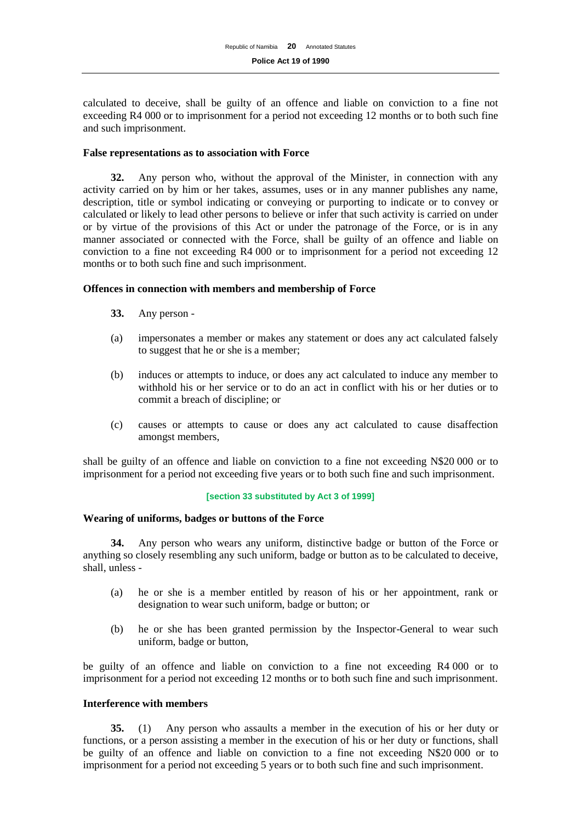calculated to deceive, shall be guilty of an offence and liable on conviction to a fine not exceeding R4 000 or to imprisonment for a period not exceeding 12 months or to both such fine and such imprisonment.

## **False representations as to association with Force**

**32.** Any person who, without the approval of the Minister, in connection with any activity carried on by him or her takes, assumes, uses or in any manner publishes any name, description, title or symbol indicating or conveying or purporting to indicate or to convey or calculated or likely to lead other persons to believe or infer that such activity is carried on under or by virtue of the provisions of this Act or under the patronage of the Force, or is in any manner associated or connected with the Force, shall be guilty of an offence and liable on conviction to a fine not exceeding R4 000 or to imprisonment for a period not exceeding 12 months or to both such fine and such imprisonment.

## **Offences in connection with members and membership of Force**

- **33.** Any person -
- (a) impersonates a member or makes any statement or does any act calculated falsely to suggest that he or she is a member;
- (b) induces or attempts to induce, or does any act calculated to induce any member to withhold his or her service or to do an act in conflict with his or her duties or to commit a breach of discipline; or
- (c) causes or attempts to cause or does any act calculated to cause disaffection amongst members,

shall be guilty of an offence and liable on conviction to a fine not exceeding N\$20 000 or to imprisonment for a period not exceeding five years or to both such fine and such imprisonment.

## **[section 33 substituted by Act 3 of 1999]**

## **Wearing of uniforms, badges or buttons of the Force**

**34.** Any person who wears any uniform, distinctive badge or button of the Force or anything so closely resembling any such uniform, badge or button as to be calculated to deceive, shall, unless -

- (a) he or she is a member entitled by reason of his or her appointment, rank or designation to wear such uniform, badge or button; or
- (b) he or she has been granted permission by the Inspector-General to wear such uniform, badge or button,

be guilty of an offence and liable on conviction to a fine not exceeding R4 000 or to imprisonment for a period not exceeding 12 months or to both such fine and such imprisonment.

## **Interference with members**

**35.** (1) Any person who assaults a member in the execution of his or her duty or functions, or a person assisting a member in the execution of his or her duty or functions, shall be guilty of an offence and liable on conviction to a fine not exceeding N\$20 000 or to imprisonment for a period not exceeding 5 years or to both such fine and such imprisonment.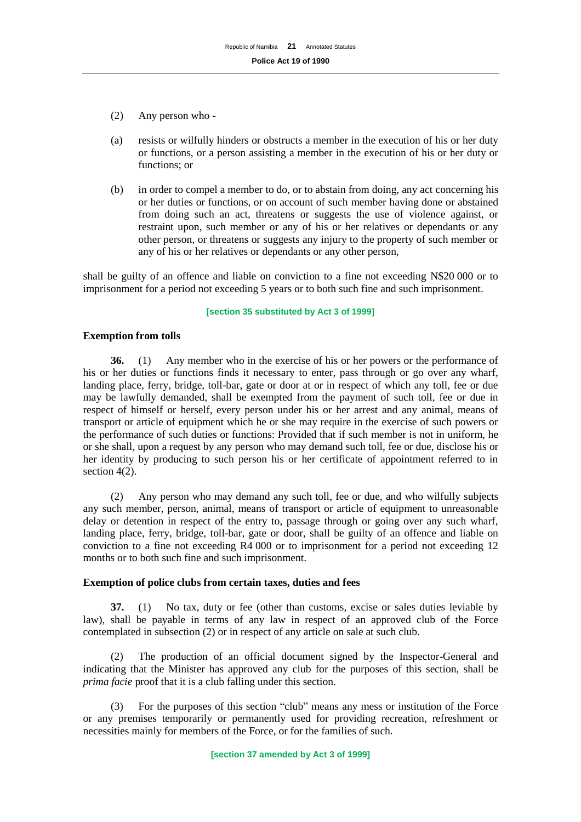- (2) Any person who -
- (a) resists or wilfully hinders or obstructs a member in the execution of his or her duty or functions, or a person assisting a member in the execution of his or her duty or functions; or
- (b) in order to compel a member to do, or to abstain from doing, any act concerning his or her duties or functions, or on account of such member having done or abstained from doing such an act, threatens or suggests the use of violence against, or restraint upon, such member or any of his or her relatives or dependants or any other person, or threatens or suggests any injury to the property of such member or any of his or her relatives or dependants or any other person,

shall be guilty of an offence and liable on conviction to a fine not exceeding N\$20 000 or to imprisonment for a period not exceeding 5 years or to both such fine and such imprisonment.

#### **[section 35 substituted by Act 3 of 1999]**

## **Exemption from tolls**

**36.** (1) Any member who in the exercise of his or her powers or the performance of his or her duties or functions finds it necessary to enter, pass through or go over any wharf, landing place, ferry, bridge, toll-bar, gate or door at or in respect of which any toll, fee or due may be lawfully demanded, shall be exempted from the payment of such toll, fee or due in respect of himself or herself, every person under his or her arrest and any animal, means of transport or article of equipment which he or she may require in the exercise of such powers or the performance of such duties or functions: Provided that if such member is not in uniform, he or she shall, upon a request by any person who may demand such toll, fee or due, disclose his or her identity by producing to such person his or her certificate of appointment referred to in section 4(2).

(2) Any person who may demand any such toll, fee or due, and who wilfully subjects any such member, person, animal, means of transport or article of equipment to unreasonable delay or detention in respect of the entry to, passage through or going over any such wharf, landing place, ferry, bridge, toll-bar, gate or door, shall be guilty of an offence and liable on conviction to a fine not exceeding R4 000 or to imprisonment for a period not exceeding 12 months or to both such fine and such imprisonment.

#### **Exemption of police clubs from certain taxes, duties and fees**

**37.** (1) No tax, duty or fee (other than customs, excise or sales duties leviable by law), shall be payable in terms of any law in respect of an approved club of the Force contemplated in subsection (2) or in respect of any article on sale at such club.

(2) The production of an official document signed by the Inspector-General and indicating that the Minister has approved any club for the purposes of this section, shall be *prima facie* proof that it is a club falling under this section.

(3) For the purposes of this section "club" means any mess or institution of the Force or any premises temporarily or permanently used for providing recreation, refreshment or necessities mainly for members of the Force, or for the families of such.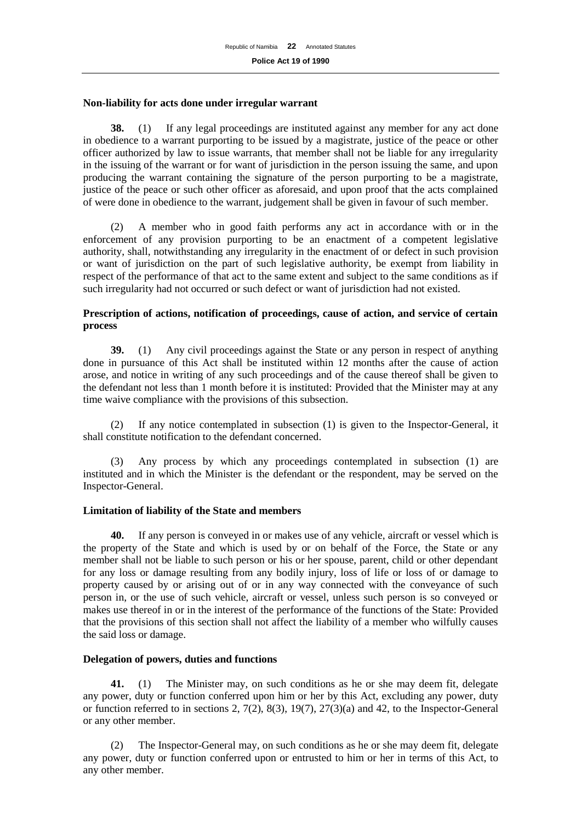#### **Non-liability for acts done under irregular warrant**

**38.** (1) If any legal proceedings are instituted against any member for any act done in obedience to a warrant purporting to be issued by a magistrate, justice of the peace or other officer authorized by law to issue warrants, that member shall not be liable for any irregularity in the issuing of the warrant or for want of jurisdiction in the person issuing the same, and upon producing the warrant containing the signature of the person purporting to be a magistrate, justice of the peace or such other officer as aforesaid, and upon proof that the acts complained of were done in obedience to the warrant, judgement shall be given in favour of such member.

(2) A member who in good faith performs any act in accordance with or in the enforcement of any provision purporting to be an enactment of a competent legislative authority, shall, notwithstanding any irregularity in the enactment of or defect in such provision or want of jurisdiction on the part of such legislative authority, be exempt from liability in respect of the performance of that act to the same extent and subject to the same conditions as if such irregularity had not occurred or such defect or want of jurisdiction had not existed.

## **Prescription of actions, notification of proceedings, cause of action, and service of certain process**

**39.** (1) Any civil proceedings against the State or any person in respect of anything done in pursuance of this Act shall be instituted within 12 months after the cause of action arose, and notice in writing of any such proceedings and of the cause thereof shall be given to the defendant not less than 1 month before it is instituted: Provided that the Minister may at any time waive compliance with the provisions of this subsection.

(2) If any notice contemplated in subsection (1) is given to the Inspector-General, it shall constitute notification to the defendant concerned.

(3) Any process by which any proceedings contemplated in subsection (1) are instituted and in which the Minister is the defendant or the respondent, may be served on the Inspector-General.

## **Limitation of liability of the State and members**

**40.** If any person is conveyed in or makes use of any vehicle, aircraft or vessel which is the property of the State and which is used by or on behalf of the Force, the State or any member shall not be liable to such person or his or her spouse, parent, child or other dependant for any loss or damage resulting from any bodily injury, loss of life or loss of or damage to property caused by or arising out of or in any way connected with the conveyance of such person in, or the use of such vehicle, aircraft or vessel, unless such person is so conveyed or makes use thereof in or in the interest of the performance of the functions of the State: Provided that the provisions of this section shall not affect the liability of a member who wilfully causes the said loss or damage.

## **Delegation of powers, duties and functions**

**41.** (1) The Minister may, on such conditions as he or she may deem fit, delegate any power, duty or function conferred upon him or her by this Act, excluding any power, duty or function referred to in sections 2,  $7(2)$ ,  $8(3)$ ,  $19(7)$ ,  $27(3)(a)$  and 42, to the Inspector-General or any other member.

(2) The Inspector-General may, on such conditions as he or she may deem fit, delegate any power, duty or function conferred upon or entrusted to him or her in terms of this Act, to any other member.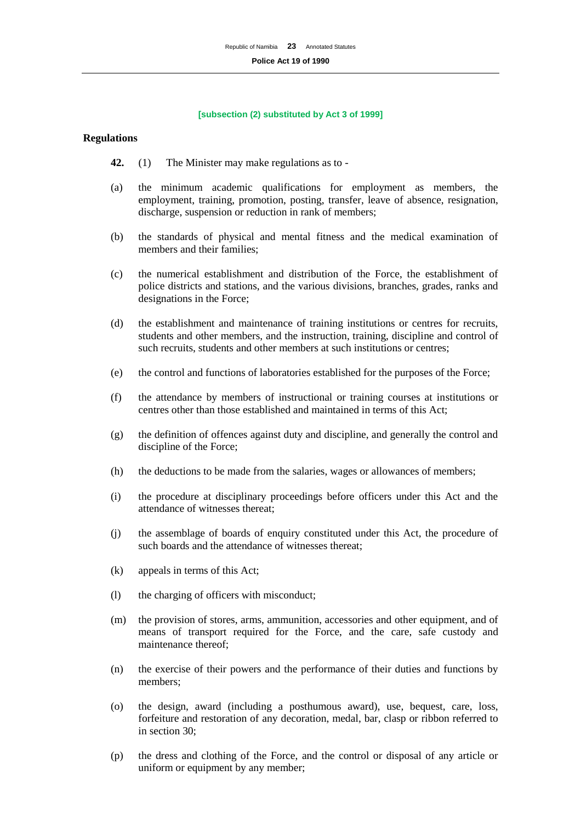#### **[subsection (2) substituted by Act 3 of 1999]**

#### **Regulations**

- **42.** (1) The Minister may make regulations as to -
- (a) the minimum academic qualifications for employment as members, the employment, training, promotion, posting, transfer, leave of absence, resignation, discharge, suspension or reduction in rank of members;
- (b) the standards of physical and mental fitness and the medical examination of members and their families;
- (c) the numerical establishment and distribution of the Force, the establishment of police districts and stations, and the various divisions, branches, grades, ranks and designations in the Force;
- (d) the establishment and maintenance of training institutions or centres for recruits, students and other members, and the instruction, training, discipline and control of such recruits, students and other members at such institutions or centres;
- (e) the control and functions of laboratories established for the purposes of the Force;
- (f) the attendance by members of instructional or training courses at institutions or centres other than those established and maintained in terms of this Act;
- (g) the definition of offences against duty and discipline, and generally the control and discipline of the Force;
- (h) the deductions to be made from the salaries, wages or allowances of members;
- (i) the procedure at disciplinary proceedings before officers under this Act and the attendance of witnesses thereat;
- (j) the assemblage of boards of enquiry constituted under this Act, the procedure of such boards and the attendance of witnesses thereat;
- (k) appeals in terms of this Act;
- (l) the charging of officers with misconduct;
- (m) the provision of stores, arms, ammunition, accessories and other equipment, and of means of transport required for the Force, and the care, safe custody and maintenance thereof;
- (n) the exercise of their powers and the performance of their duties and functions by members;
- (o) the design, award (including a posthumous award), use, bequest, care, loss, forfeiture and restoration of any decoration, medal, bar, clasp or ribbon referred to in section 30;
- (p) the dress and clothing of the Force, and the control or disposal of any article or uniform or equipment by any member;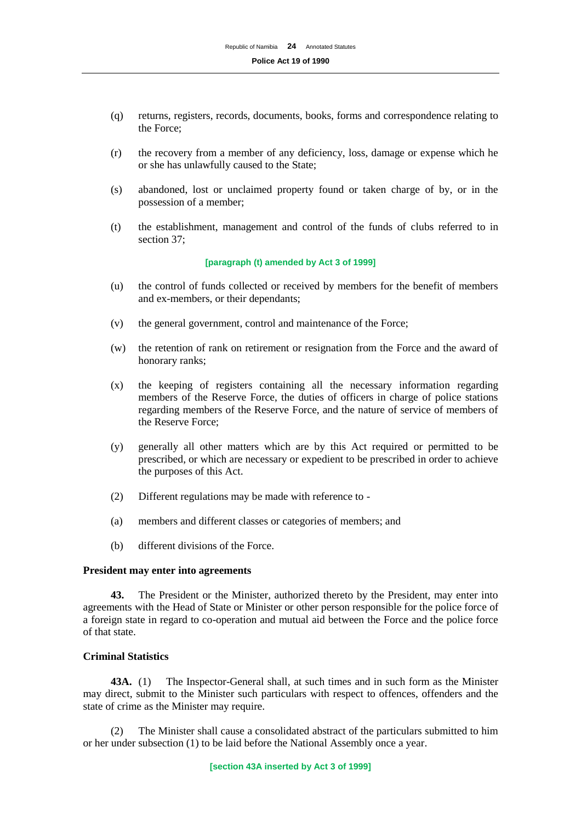- (q) returns, registers, records, documents, books, forms and correspondence relating to the Force;
- (r) the recovery from a member of any deficiency, loss, damage or expense which he or she has unlawfully caused to the State;
- (s) abandoned, lost or unclaimed property found or taken charge of by, or in the possession of a member;
- (t) the establishment, management and control of the funds of clubs referred to in section 37;

#### **[paragraph (t) amended by Act 3 of 1999]**

- (u) the control of funds collected or received by members for the benefit of members and ex-members, or their dependants;
- (v) the general government, control and maintenance of the Force;
- (w) the retention of rank on retirement or resignation from the Force and the award of honorary ranks;
- (x) the keeping of registers containing all the necessary information regarding members of the Reserve Force, the duties of officers in charge of police stations regarding members of the Reserve Force, and the nature of service of members of the Reserve Force;
- (y) generally all other matters which are by this Act required or permitted to be prescribed, or which are necessary or expedient to be prescribed in order to achieve the purposes of this Act.
- (2) Different regulations may be made with reference to -
- (a) members and different classes or categories of members; and
- (b) different divisions of the Force.

## **President may enter into agreements**

**43.** The President or the Minister, authorized thereto by the President, may enter into agreements with the Head of State or Minister or other person responsible for the police force of a foreign state in regard to co-operation and mutual aid between the Force and the police force of that state.

## **Criminal Statistics**

**43A.** (1) The Inspector-General shall, at such times and in such form as the Minister may direct, submit to the Minister such particulars with respect to offences, offenders and the state of crime as the Minister may require.

(2) The Minister shall cause a consolidated abstract of the particulars submitted to him or her under subsection (1) to be laid before the National Assembly once a year.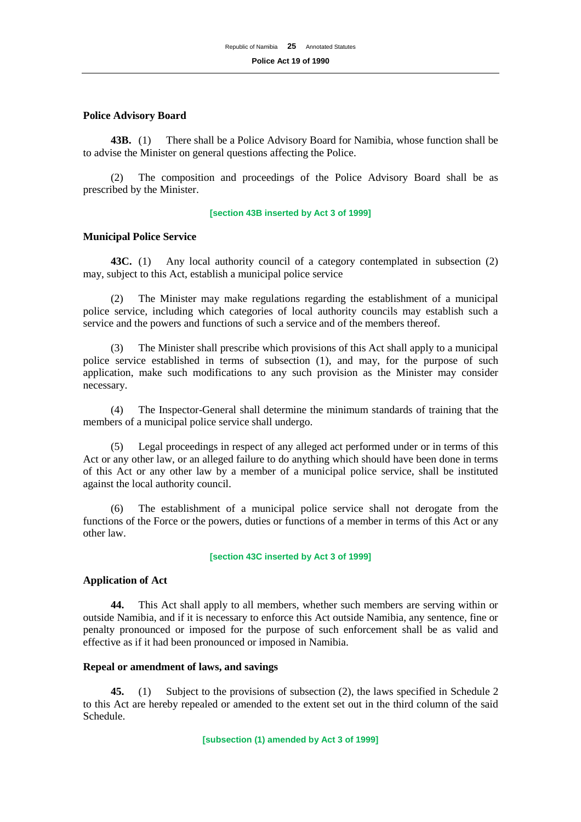### **Police Advisory Board**

**43B.** (1) There shall be a Police Advisory Board for Namibia, whose function shall be to advise the Minister on general questions affecting the Police.

(2) The composition and proceedings of the Police Advisory Board shall be as prescribed by the Minister.

#### **[section 43B inserted by Act 3 of 1999]**

## **Municipal Police Service**

**43C.** (1) Any local authority council of a category contemplated in subsection (2) may, subject to this Act, establish a municipal police service

(2) The Minister may make regulations regarding the establishment of a municipal police service, including which categories of local authority councils may establish such a service and the powers and functions of such a service and of the members thereof.

(3) The Minister shall prescribe which provisions of this Act shall apply to a municipal police service established in terms of subsection (1), and may, for the purpose of such application, make such modifications to any such provision as the Minister may consider necessary.

(4) The Inspector-General shall determine the minimum standards of training that the members of a municipal police service shall undergo.

(5) Legal proceedings in respect of any alleged act performed under or in terms of this Act or any other law, or an alleged failure to do anything which should have been done in terms of this Act or any other law by a member of a municipal police service, shall be instituted against the local authority council.

The establishment of a municipal police service shall not derogate from the functions of the Force or the powers, duties or functions of a member in terms of this Act or any other law.

#### **[section 43C inserted by Act 3 of 1999]**

## **Application of Act**

**44.** This Act shall apply to all members, whether such members are serving within or outside Namibia, and if it is necessary to enforce this Act outside Namibia, any sentence, fine or penalty pronounced or imposed for the purpose of such enforcement shall be as valid and effective as if it had been pronounced or imposed in Namibia.

## **Repeal or amendment of laws, and savings**

**45.** (1) Subject to the provisions of subsection (2), the laws specified in Schedule 2 to this Act are hereby repealed or amended to the extent set out in the third column of the said Schedule.

**[subsection (1) amended by Act 3 of 1999]**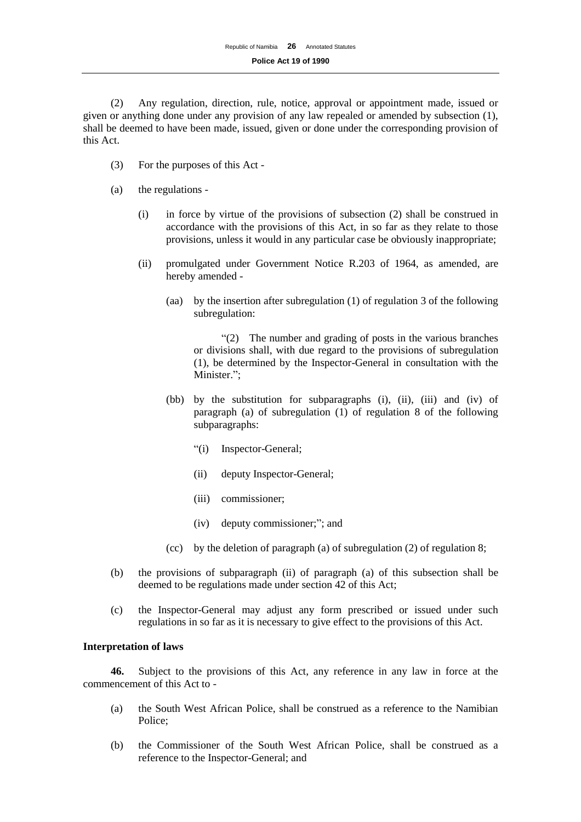(2) Any regulation, direction, rule, notice, approval or appointment made, issued or given or anything done under any provision of any law repealed or amended by subsection (1), shall be deemed to have been made, issued, given or done under the corresponding provision of this Act.

- (3) For the purposes of this Act -
- (a) the regulations
	- (i) in force by virtue of the provisions of subsection (2) shall be construed in accordance with the provisions of this Act, in so far as they relate to those provisions, unless it would in any particular case be obviously inappropriate;
	- (ii) promulgated under Government Notice R.203 of 1964, as amended, are hereby amended -
		- (aa) by the insertion after subregulation (1) of regulation 3 of the following subregulation:

"(2) The number and grading of posts in the various branches or divisions shall, with due regard to the provisions of subregulation (1), be determined by the Inspector-General in consultation with the Minister.";

- (bb) by the substitution for subparagraphs (i), (ii), (iii) and (iv) of paragraph (a) of subregulation (1) of regulation 8 of the following subparagraphs:
	- "(i) Inspector-General;
	- (ii) deputy Inspector-General;
	- (iii) commissioner;
	- (iv) deputy commissioner;"; and
- (cc) by the deletion of paragraph (a) of subregulation (2) of regulation 8;
- (b) the provisions of subparagraph (ii) of paragraph (a) of this subsection shall be deemed to be regulations made under section 42 of this Act;
- (c) the Inspector-General may adjust any form prescribed or issued under such regulations in so far as it is necessary to give effect to the provisions of this Act.

## **Interpretation of laws**

**46.** Subject to the provisions of this Act, any reference in any law in force at the commencement of this Act to -

- (a) the South West African Police, shall be construed as a reference to the Namibian Police;
- (b) the Commissioner of the South West African Police, shall be construed as a reference to the Inspector-General; and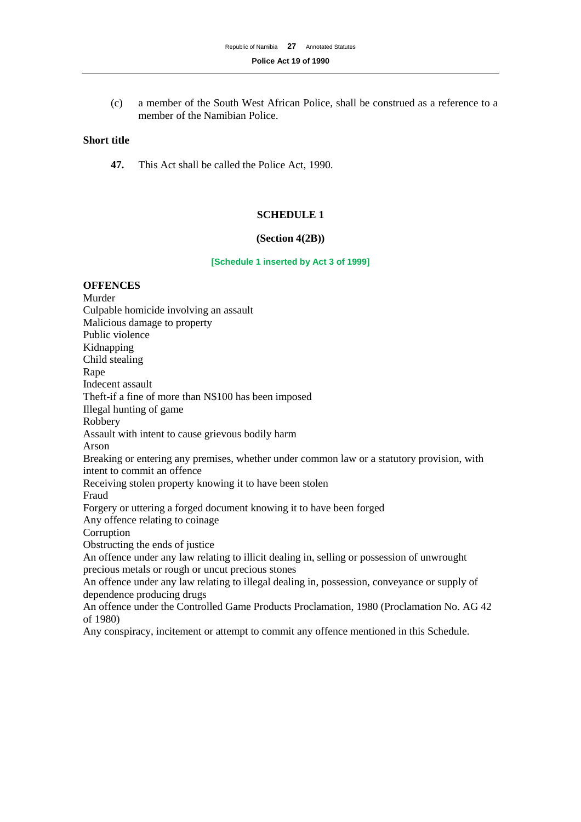(c) a member of the South West African Police, shall be construed as a reference to a member of the Namibian Police.

## **Short title**

**47.** This Act shall be called the Police Act, 1990.

## **SCHEDULE 1**

#### **(Section 4(2B))**

## **[Schedule 1 inserted by Act 3 of 1999]**

## **OFFENCES**

Murder Culpable homicide involving an assault Malicious damage to property Public violence Kidnapping Child stealing Rape Indecent assault Theft-if a fine of more than N\$100 has been imposed Illegal hunting of game Robbery Assault with intent to cause grievous bodily harm Arson Breaking or entering any premises, whether under common law or a statutory provision, with intent to commit an offence Receiving stolen property knowing it to have been stolen Fraud Forgery or uttering a forged document knowing it to have been forged Any offence relating to coinage **Corruption** Obstructing the ends of justice An offence under any law relating to illicit dealing in, selling or possession of unwrought precious metals or rough or uncut precious stones An offence under any law relating to illegal dealing in, possession, conveyance or supply of dependence producing drugs An offence under the Controlled Game Products Proclamation, 1980 (Proclamation No. AG 42 of 1980)

Any conspiracy, incitement or attempt to commit any offence mentioned in this Schedule.